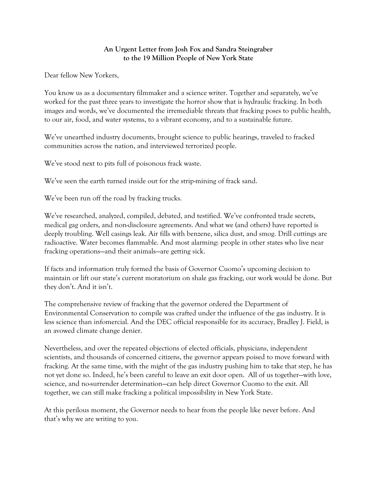## **An Urgent Letter from Josh Fox and Sandra Steingraber to the 19 Million People of New York State**

Dear fellow New Yorkers,

You know us as a documentary filmmaker and a science writer. Together and separately, we've worked for the past three years to investigate the horror show that is hydraulic fracking. In both images and words, we've documented the irremediable threats that fracking poses to public health, to our air, food, and water systems, to a vibrant economy, and to a sustainable future.

We've unearthed industry documents, brought science to public hearings, traveled to fracked communities across the nation, and interviewed terrorized people.

We've stood next to pits full of poisonous frack waste.

We've seen the earth turned inside out for the strip-mining of frack sand.

We've been run off the road by fracking trucks.

We've researched, analyzed, compiled, debated, and testified. We've confronted trade secrets, medical gag orders, and non-disclosure agreements. And what we (and others) have reported is deeply troubling. Well casings leak. Air fills with benzene, silica dust, and smog. Drill cuttings are radioactive. Water becomes flammable. And most alarming: people in other states who live near fracking operations—and their animals—are getting sick.

If facts and information truly formed the basis of Governor Cuomo's upcoming decision to maintain or lift our state's current moratorium on shale gas fracking, our work would be done. But they don't. And it isn't.

The comprehensive review of fracking that the governor ordered the Department of Environmental Conservation to compile was crafted under the influence of the gas industry. It is less science than infomercial. And the DEC official responsible for its accuracy, Bradley J. Field, is an avowed climate change denier.

Nevertheless, and over the repeated objections of elected officials, physicians, independent scientists, and thousands of concerned citizens, the governor appears poised to move forward with fracking. At the same time, with the might of the gas industry pushing him to take that step, he has not yet done so. Indeed, he's been careful to leave an exit door open. All of us together—with love, science, and no-surrender determination—can help direct Governor Cuomo to the exit. All together, we can still make fracking a political impossibility in New York State.

At this perilous moment, the Governor needs to hear from the people like never before. And that's why we are writing to you.